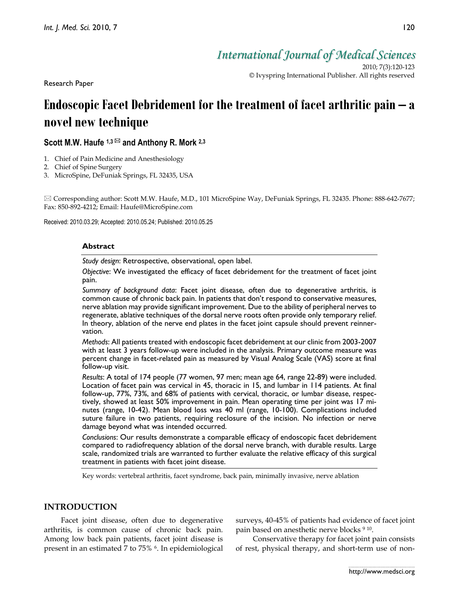Research Paper

*International Journal of Medical Sciences*

2010; 7(3):120-123 © Ivyspring International Publisher. All rights reserved

# **Endoscopic Facet Debridement for the treatment of facet arthritic pain – a novel new technique**

# Scott M.W. Haufe <sup>1,3</sup> <sup>⊠</sup> and Anthony R. Mork <sup>2,3</sup>

- 1. Chief of Pain Medicine and Anesthesiology
- 2. Chief of Spine Surgery
- 3. MicroSpine, DeFuniak Springs, FL 32435, USA

 $\boxtimes$  Corresponding author: Scott M.W. Haufe, M.D., 101 MicroSpine Way, DeFuniak Springs, FL 32435. Phone: 888-642-7677; Fax: 850-892-4212; Email: Haufe@MicroSpine.com

Received: 2010.03.29; Accepted: 2010.05.24; Published: 2010.05.25

#### **Abstract**

*Study design*: Retrospective, observational, open label.

*Objective*: We investigated the efficacy of facet debridement for the treatment of facet joint pain.

*Summary of background data*: Facet joint disease, often due to degenerative arthritis, is common cause of chronic back pain. In patients that don't respond to conservative measures, nerve ablation may provide significant improvement. Due to the ability of peripheral nerves to regenerate, ablative techniques of the dorsal nerve roots often provide only temporary relief. In theory, ablation of the nerve end plates in the facet joint capsule should prevent reinnervation.

*Methods*: All patients treated with endoscopic facet debridement at our clinic from 2003-2007 with at least 3 years follow-up were included in the analysis. Primary outcome measure was percent change in facet-related pain as measured by Visual Analog Scale (VAS) score at final follow-up visit.

*Results*: A total of 174 people (77 women, 97 men; mean age 64, range 22-89) were included. Location of facet pain was cervical in 45, thoracic in 15, and lumbar in 114 patients. At final follow-up, 77%, 73%, and 68% of patients with cervical, thoracic, or lumbar disease, respectively, showed at least 50% improvement in pain. Mean operating time per joint was 17 minutes (range, 10-42). Mean blood loss was 40 ml (range, 10-100). Complications included suture failure in two patients, requiring reclosure of the incision. No infection or nerve damage beyond what was intended occurred.

*Conclusions*: Our results demonstrate a comparable efficacy of endoscopic facet debridement compared to radiofrequency ablation of the dorsal nerve branch, with durable results. Large scale, randomized trials are warranted to further evaluate the relative efficacy of this surgical treatment in patients with facet joint disease.

Key words: vertebral arthritis, facet syndrome, back pain, minimally invasive, nerve ablation

# **INTRODUCTION**

Facet joint disease, often due to degenerative arthritis, is common cause of chronic back pain. Among low back pain patients, facet joint disease is present in an estimated 7 to 75% 6. In epidemiological surveys, 40-45% of patients had evidence of facet joint pain based on anesthetic nerve blocks 9 10.

Conservative therapy for facet joint pain consists of rest, physical therapy, and short-term use of non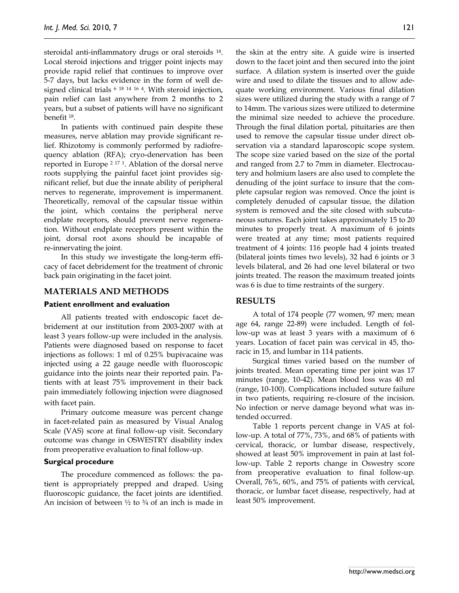steroidal anti-inflammatory drugs or oral steroids 18. Local steroid injections and trigger point injects may provide rapid relief that continues to improve over 5-7 days, but lacks evidence in the form of well designed clinical trials 6 <sup>18</sup> <sup>14</sup> <sup>16</sup> 4. With steroid injection, pain relief can last anywhere from 2 months to 2 years, but a subset of patients will have no significant benefit 18.

In patients with continued pain despite these measures, nerve ablation may provide significant relief. Rhizotomy is commonly performed by radiofrequency ablation (RFA); cryo-denervation has been reported in Europe 2 <sup>17</sup> 1. Ablation of the dorsal nerve roots supplying the painful facet joint provides significant relief, but due the innate ability of peripheral nerves to regenerate, improvement is impermanent. Theoretically, removal of the capsular tissue within the joint, which contains the peripheral nerve endplate receptors, should prevent nerve regeneration. Without endplate receptors present within the joint, dorsal root axons should be incapable of re-innervating the joint.

In this study we investigate the long-term efficacy of facet debridement for the treatment of chronic back pain originating in the facet joint.

### **MATERIALS AND METHODS**

#### **Patient enrollment and evaluation**

All patients treated with endoscopic facet debridement at our institution from 2003-2007 with at least 3 years follow-up were included in the analysis. Patients were diagnosed based on response to facet injections as follows: 1 ml of 0.25% bupivacaine was injected using a 22 gauge needle with fluoroscopic guidance into the joints near their reported pain. Patients with at least 75% improvement in their back pain immediately following injection were diagnosed with facet pain.

Primary outcome measure was percent change in facet-related pain as measured by Visual Analog Scale (VAS) score at final follow-up visit. Secondary outcome was change in OSWESTRY disability index from preoperative evaluation to final follow-up.

#### **Surgical procedure**

The procedure commenced as follows: the patient is appropriately prepped and draped. Using fluoroscopic guidance, the facet joints are identified. An incision of between  $\frac{1}{2}$  to  $\frac{3}{4}$  of an inch is made in

the skin at the entry site. A guide wire is inserted down to the facet joint and then secured into the joint surface. A dilation system is inserted over the guide wire and used to dilate the tissues and to allow adequate working environment. Various final dilation sizes were utilized during the study with a range of 7 to 14mm. The various sizes were utilized to determine the minimal size needed to achieve the procedure. Through the final dilation portal, pituitaries are then used to remove the capsular tissue under direct observation via a standard laparoscopic scope system. The scope size varied based on the size of the portal and ranged from 2.7 to 7mm in diameter. Electrocautery and holmium lasers are also used to complete the denuding of the joint surface to insure that the complete capsular region was removed. Once the joint is completely denuded of capsular tissue, the dilation system is removed and the site closed with subcutaneous sutures. Each joint takes approximately 15 to 20 minutes to properly treat. A maximum of 6 joints were treated at any time; most patients required treatment of 4 joints: 116 people had 4 joints treated (bilateral joints times two levels), 32 had 6 joints or 3 levels bilateral, and 26 had one level bilateral or two joints treated. The reason the maximum treated joints was 6 is due to time restraints of the surgery.

# **RESULTS**

A total of 174 people (77 women, 97 men; mean age 64, range 22-89) were included. Length of follow-up was at least 3 years with a maximum of 6 years. Location of facet pain was cervical in 45, thoracic in 15, and lumbar in 114 patients.

Surgical times varied based on the number of joints treated. Mean operating time per joint was 17 minutes (range, 10-42). Mean blood loss was 40 ml (range, 10-100). Complications included suture failure in two patients, requiring re-closure of the incision. No infection or nerve damage beyond what was intended occurred.

Table 1 reports percent change in VAS at follow-up. A total of 77%, 73%, and 68% of patients with cervical, thoracic, or lumbar disease, respectively, showed at least 50% improvement in pain at last follow-up. Table 2 reports change in Oswestry score from preoperative evaluation to final follow-up. Overall, 76%, 60%, and 75% of patients with cervical, thoracic, or lumbar facet disease, respectively, had at least 50% improvement.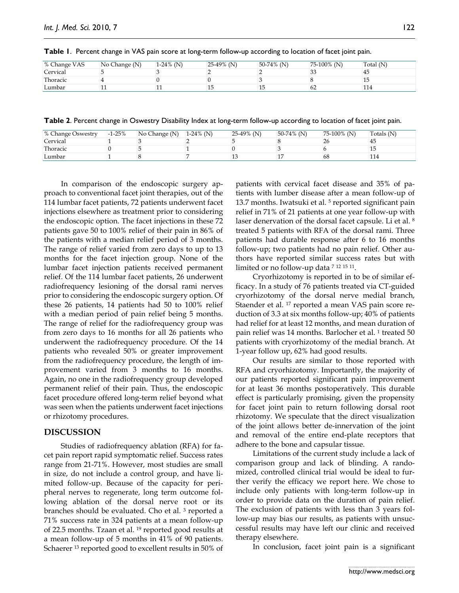| % Change VAS | No Change (N) | $1-24\%$ (N) | 25-49% (N) | $50-74\%$ (N) | $75-100\%$ (N) | Total (N) |
|--------------|---------------|--------------|------------|---------------|----------------|-----------|
| Cervical     |               |              |            |               | سى             |           |
| Thoracic     |               |              |            |               |                |           |
| Lumbar       | ᆠ             |              |            |               | 62             |           |

**Table 1**. Percent change in VAS pain score at long-term follow-up according to location of facet joint pain.

**Table 2**. Percent change in Oswestry Disability Index at long-term follow-up according to location of facet joint pain.

| % Change Oswestry | $-1 - 25%$ | No Change (N) | $1-24\%$ (N) | 25-49% (N) | $50-74\%$ (N) | $75-100\%$ (N) | Totals (N) |
|-------------------|------------|---------------|--------------|------------|---------------|----------------|------------|
| Cervical          |            |               |              |            |               |                | 45         |
| Thoracic          |            |               |              |            |               |                |            |
| Lumbar            |            |               |              |            |               | 68             |            |

In comparison of the endoscopic surgery approach to conventional facet joint therapies, out of the 114 lumbar facet patients, 72 patients underwent facet injections elsewhere as treatment prior to considering the endoscopic option. The facet injections in these 72 patients gave 50 to 100% relief of their pain in 86% of the patients with a median relief period of 3 months. The range of relief varied from zero days to up to 13 months for the facet injection group. None of the lumbar facet injection patients received permanent relief. Of the 114 lumbar facet patients, 26 underwent radiofrequency lesioning of the dorsal rami nerves prior to considering the endoscopic surgery option. Of these 26 patients, 14 patients had 50 to 100% relief with a median period of pain relief being 5 months. The range of relief for the radiofrequency group was from zero days to 16 months for all 26 patients who underwent the radiofrequency procedure. Of the 14 patients who revealed 50% or greater improvement from the radiofrequency procedure, the length of improvement varied from 3 months to 16 months. Again, no one in the radiofrequency group developed permanent relief of their pain. Thus, the endoscopic facet procedure offered long-term relief beyond what was seen when the patients underwent facet injections or rhizotomy procedures.

# **DISCUSSION**

Studies of radiofrequency ablation (RFA) for facet pain report rapid symptomatic relief. Success rates range from 21-71%. However, most studies are small in size, do not include a control group, and have limited follow-up. Because of the capacity for peripheral nerves to regenerate, long term outcome following ablation of the dorsal nerve root or its branches should be evaluated. Cho et al. 3 reported a 71% success rate in 324 patients at a mean follow-up of 22.5 months. Tzaan et al. 19 reported good results at a mean follow-up of 5 months in 41% of 90 patients. Schaerer 13 reported good to excellent results in 50% of

patients with cervical facet disease and 35% of patients with lumber disease after a mean follow-up of 13.7 months. Iwatsuki et al.<sup>5</sup> reported significant pain relief in 71% of 21 patients at one year follow-up with laser denervation of the dorsal facet capsule. Li et al. 8 treated 5 patients with RFA of the dorsal rami. Three patients had durable response after 6 to 16 months follow-up; two patients had no pain relief. Other authors have reported similar success rates but with limited or no follow-up data 7 <sup>12</sup> <sup>15</sup> 11.

Cryorhizotomy is reported in to be of similar efficacy. In a study of 76 patients treated via CT-guided cryorhizotomy of the dorsal nerve medial branch, Staender et al. <sup>17</sup> reported a mean VAS pain score reduction of 3.3 at six months follow-up; 40% of patients had relief for at least 12 months, and mean duration of pain relief was 14 months. Barlocher et al. <sup>1</sup> treated 50 patients with cryorhizotomy of the medial branch. At 1-year follow up, 62% had good results.

Our results are similar to those reported with RFA and cryorhizotomy. Importantly, the majority of our patients reported significant pain improvement for at least 36 months postoperatively. This durable effect is particularly promising, given the propensity for facet joint pain to return following dorsal root rhizotomy. We speculate that the direct visualization of the joint allows better de-innervation of the joint and removal of the entire end-plate receptors that adhere to the bone and capsular tissue.

Limitations of the current study include a lack of comparison group and lack of blinding. A randomized, controlled clinical trial would be ideal to further verify the efficacy we report here. We chose to include only patients with long-term follow-up in order to provide data on the duration of pain relief. The exclusion of patients with less than 3 years follow-up may bias our results, as patients with unsuccessful results may have left our clinic and received therapy elsewhere.

In conclusion, facet joint pain is a significant